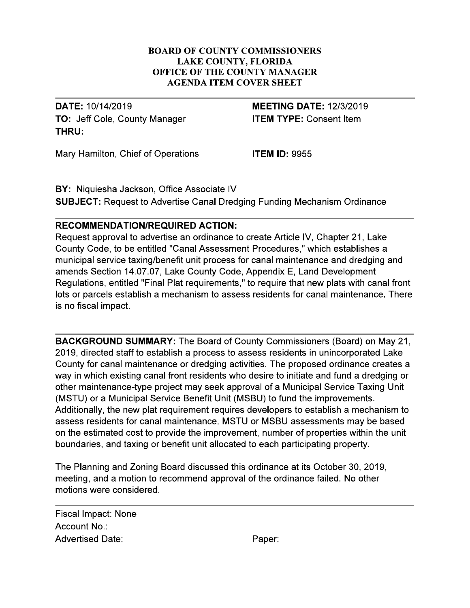#### **BOARD OF COUNTY COMMISSIONERS LAKE COUNTY, FLORIDA** OFFICE OF THE COUNTY MANAGER **AGENDA ITEM COVER SHEET**

DATE: 10/14/2019 TO: Jeff Cole, County Manager THRU:

**MEETING DATE: 12/3/2019 ITEM TYPE: Consent Item** 

Mary Hamilton, Chief of Operations

**ITEM ID: 9955** 

BY: Niquiesha Jackson, Office Associate IV **SUBJECT:** Request to Advertise Canal Dredging Funding Mechanism Ordinance

# **RECOMMENDATION/REQUIRED ACTION:**

Request approval to advertise an ordinance to create Article IV, Chapter 21, Lake County Code, to be entitled "Canal Assessment Procedures," which establishes a municipal service taxing/benefit unit process for canal maintenance and dredging and amends Section 14.07.07, Lake County Code, Appendix E, Land Development Regulations, entitled "Final Plat requirements," to require that new plats with canal front lots or parcels establish a mechanism to assess residents for canal maintenance. There is no fiscal impact.

**BACKGROUND SUMMARY:** The Board of County Commissioners (Board) on May 21, 2019, directed staff to establish a process to assess residents in unincorporated Lake County for canal maintenance or dredging activities. The proposed ordinance creates a way in which existing canal front residents who desire to initiate and fund a dredging or other maintenance-type project may seek approval of a Municipal Service Taxing Unit (MSTU) or a Municipal Service Benefit Unit (MSBU) to fund the improvements. Additionally, the new plat requirement requires developers to establish a mechanism to assess residents for canal maintenance. MSTU or MSBU assessments may be based on the estimated cost to provide the improvement, number of properties within the unit boundaries, and taxing or benefit unit allocated to each participating property.

The Planning and Zoning Board discussed this ordinance at its October 30, 2019, meeting, and a motion to recommend approval of the ordinance failed. No other motions were considered.

Fiscal Impact: None Account No.: **Advertised Date:** 

Paper: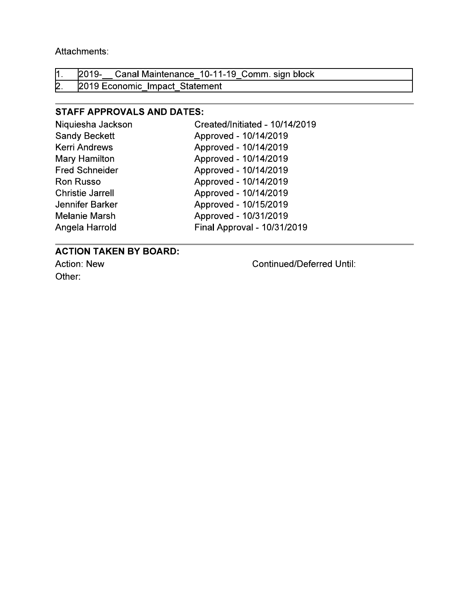Attachments:

|  | $\vert 1.$ 2019- Canal Maintenance 10-11-19 Comm. sign block |  |
|--|--------------------------------------------------------------|--|
|  | 2. 2019 Economic Impact Statement                            |  |

# **STAFF APPROVALS AND DATES:**

| Niquiesha Jackson       | Created/Initiated - 10/14/2019 |
|-------------------------|--------------------------------|
| <b>Sandy Beckett</b>    | Approved - 10/14/2019          |
| <b>Kerri Andrews</b>    | Approved - 10/14/2019          |
| Mary Hamilton           | Approved - 10/14/2019          |
| <b>Fred Schneider</b>   | Approved - 10/14/2019          |
| <b>Ron Russo</b>        | Approved - 10/14/2019          |
| <b>Christie Jarrell</b> | Approved - 10/14/2019          |
| Jennifer Barker         | Approved - 10/15/2019          |
| <b>Melanie Marsh</b>    | Approved - 10/31/2019          |
| Angela Harrold          | Final Approval - 10/31/2019    |

# **ACTION TAKEN BY BOARD:**

Action: New Other:

**Continued/Deferred Until:**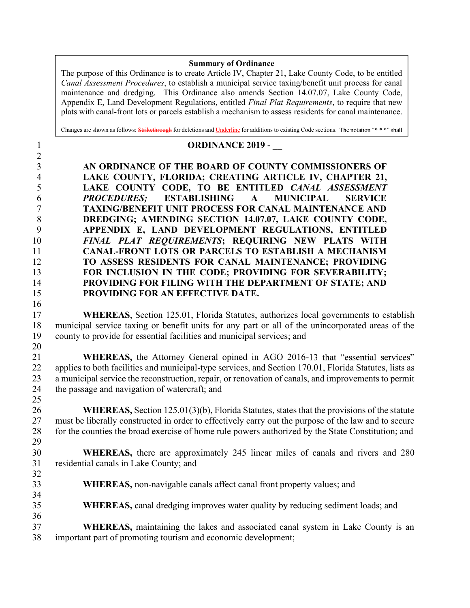#### Summary of Ordinance

The purpose of this Ordinance is to create Article IV, Chapter 21, Lake County Code, to be entitled Canal Assessment Procedures, to establish a municipal service taxing/benefit unit process for canal maintenance and dredging. This Ordinance also amends Section 14.07.07, Lake County Code, Appendix E, Land Development Regulations, entitled *Final Plat Requirements*, to require that new plats with canal-front lots or parcels establish a mechanism to assess residents for canal maintenance.

Changes are shown as follows: Strikethrough for deletions and Underline for additions to existing Code sections. The notation "\*\*\*" shall

# 2

16

25

34

36

# 1 **ORDINANCE 2019 -**

AN ORDINANCE OF THE BOARD OF COUNTY COMMISSIONERS OF LAKE COUNTY, FLORIDA; CREATING ARTICLE IV, CHAPTER 21, LAKE COUNTY CODE, TO BE ENTITLED CANAL ASSESSMENT PROCEDURES; ESTABLISHING A MUNICIPAL SERVICE TAXING/BENEFIT UNIT PROCESS FOR CANAL MAINTENANCE AND 8 DREDGING; AMENDING SECTION 14.07.07, LAKE COUNTY CODE, APPENDIX E, LAND DEVELOPMENT REGULATIONS, ENTITLED 10 FINAL PLAT REQUIREMENTS; REQUIRING NEW PLATS WITH CANAL-FRONT LOTS OR PARCELS TO ESTABLISH A MECHANISM TO ASSESS RESIDENTS FOR CANAL MAINTENANCE; PROVIDING FOR INCLUSION IN THE CODE; PROVIDING FOR SEVERABILITY; PROVIDING FOR FILING WITH THE DEPARTMENT OF STATE; AND PROVIDING FOR AN EFFECTIVE DATE.

#### 17 WHEREAS, Section 125.01, Florida Statutes, authorizes local governments to establish 18 municipal service taxing or benefit units for any part or all of the unincorporated areas of the 19 county to provide for essential facilities and municipal services; and 20

21 WHEREAS, the Attorney General opined in AGO 2016-13 that "essential services" 22 applies to both facilities and municipal-type services, and Section 170.01, Florida Statutes, lists as 23 a municipal service the reconstruction, repair, or renovation of canals, and improvements to permit 24 the passage and navigation of watercraft; and

26 WHEREAS, Section 125.01(3)(b), Florida Statutes, states that the provisions of the statute 27 must be liberally constructed in order to effectively carry out the purpose of the law and to secure 28 for the counties the broad exercise of home rule powers authorized by the State Constitution; and 29

#### 30 WHEREAS, there are approximately 245 linear miles of canals and rivers and 280 31 residential canals in Lake County; and 32

- 33 WHEREAS, non-navigable canals affect canal front property values; and
- 35 WHEREAS, canal dredging improves water quality by reducing sediment loads; and
- 37 WHEREAS, maintaining the lakes and associated canal system in Lake County is an 38 important part of promoting tourism and economic development;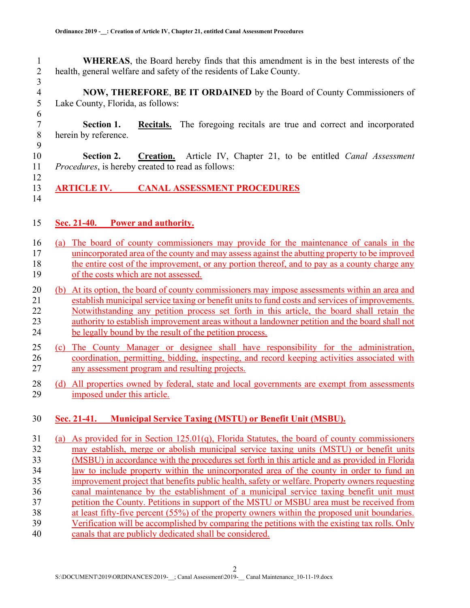1 WHEREAS, the Board hereby finds that this amendment is in the best interests of the 2 health, general welfare and safety of the residents of Lake County.

3 4 NOW, THEREFORE, BE IT ORDAINED by the Board of County Commissioners of Lake County, Florida, as follows: Lake County, Florida, as follows:

6 7 Section 1. Recitals. The foregoing recitals are true and correct and incorporated 8 herein by reference.

9 10 Section 2. Creation. Article IV, Chapter 21, to be entitled *Canal Assessment* 11 Procedures, is hereby created to read as follows: 12

- 13 ARTICLE IV. CANAL ASSESSMENT PROCEDURES
- 14

#### 15 Sec. 21-40. Power and authority.

- 16 (a) The board of county commissioners may provide for the maintenance of canals in the 17 unincorporated area of the county and may assess against the abutting property to be improved 18 the entire cost of the improvement, or any portion thereof, and to pay as a county charge any 19 of the costs which are not assessed.
- 20 (b) At its option, the board of county commissioners may impose assessments within an area and 21 establish municipal service taxing or benefit units to fund costs and services of improvements. 22 Notwithstanding any petition process set forth in this article, the board shall retain the 23 authority to establish improvement areas without a landowner petition and the board shall not 24 be legally bound by the result of the petition process.
- 25 (c) The County Manager or designee shall have responsibility for the administration, 26 coordination, permitting, bidding, inspecting, and record keeping activities associated with 27 any assessment program and resulting projects.
- 28 (d) All properties owned by federal, state and local governments are exempt from assessments 29 imposed under this article.

#### 30 Sec. 21-41. Municipal Service Taxing (MSTU) or Benefit Unit (MSBU).

31 (a) As provided for in Section 125.01(q), Florida Statutes, the board of county commissioners 32 may establish, merge or abolish municipal service taxing units (MSTU) or benefit units 33 (MSBU) in accordance with the procedures set forth in this article and as provided in Florida 34 law to include property within the unincorporated area of the county in order to fund an 35 improvement project that benefits public health, safety or welfare. Property owners requesting 36 canal maintenance by the establishment of a municipal service taxing benefit unit must 37 petition the County. Petitions in support of the MSTU or MSBU area must be received from 38 at least fifty-five percent (55%) of the property owners within the proposed unit boundaries. 39 Verification will be accomplished by comparing the petitions with the existing tax rolls. Only 40 canals that are publicly dedicated shall be considered.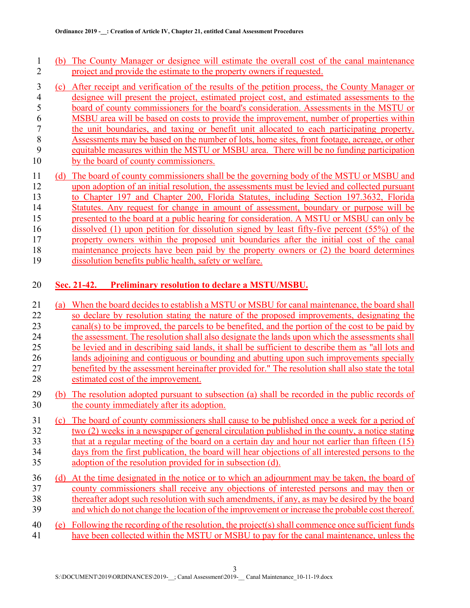- 1 (b) The County Manager or designee will estimate the overall cost of the canal maintenance 2 project and provide the estimate to the property owners if requested.
- 3 (c) After receipt and verification of the results of the petition process, the County Manager or 4 designee will present the project, estimated project cost, and estimated assessments to the board of county commissioners for the board's consideration. Assessments in the MSTU or 5 board of county commissioners for the board's consideration. Assessments in the MSTU or 6 MSBU area will be based on costs to provide the improvement, number of properties within<br>
the unit boundaries, and taxing or benefit unit allocated to each participating property. 7 the unit boundaries, and taxing or benefit unit allocated to each participating property.<br>8 Assessments may be based on the number of lots, home sites, front footage, acreage, or other Assessments may be based on the number of lots, home sites, front footage, acreage, or other 9 equitable measures within the MSTU or MSBU area. There will be no funding participation 10 by the board of county commissioners.
- 11 (d) The board of county commissioners shall be the governing body of the MSTU or MSBU and 12 upon adoption of an initial resolution, the assessments must be levied and collected pursuant 13 to Chapter 197 and Chapter 200, Florida Statutes, including Section 197.3632, Florida 14 Statutes. Any request for change in amount of assessment, boundary or purpose will be 15 presented to the board at a public hearing for consideration. A MSTU or MSBU can only be 16 dissolved (1) upon petition for dissolution signed by least fifty-five percent (55%) of the 17 property owners within the proposed unit boundaries after the initial cost of the canal 18 maintenance projects have been paid by the property owners or (2) the board determines 19 dissolution benefits public health, safety or welfare.

#### 20 Sec. 21-42. Preliminary resolution to declare a MSTU/MSBU.

- 21 (a) When the board decides to establish a MSTU or MSBU for canal maintenance, the board shall 22 so declare by resolution stating the nature of the proposed improvements, designating the 23 canal(s) to be improved, the parcels to be benefited, and the portion of the cost to be paid by 24 the assessment. The resolution shall also designate the lands upon which the assessments shall 25 be levied and in describing said lands, it shall be sufficient to describe them as "all lots and 26 lands adjoining and contiguous or bounding and abutting upon such improvements specially 27 benefited by the assessment hereinafter provided for." The resolution shall also state the total 28 estimated cost of the improvement.
- 29 (b) The resolution adopted pursuant to subsection (a) shall be recorded in the public records of 30 the county immediately after its adoption.
- 31 (c) The board of county commissioners shall cause to be published once a week for a period of 32 two (2) weeks in a newspaper of general circulation published in the county, a notice stating 33 that at a regular meeting of the board on a certain day and hour not earlier than fifteen (15) 34 days from the first publication, the board will hear objections of all interested persons to the 35 adoption of the resolution provided for in subsection (d).
- 36 (d) At the time designated in the notice or to which an adjournment may be taken, the board of 37 county commissioners shall receive any objections of interested persons and may then or 38 thereafter adopt such resolution with such amendments, if any, as may be desired by the board 39 and which do not change the location of the improvement or increase the probable cost thereof.
- 40 (e) Following the recording of the resolution, the project(s) shall commence once sufficient funds 41 have been collected within the MSTU or MSBU to pay for the canal maintenance, unless the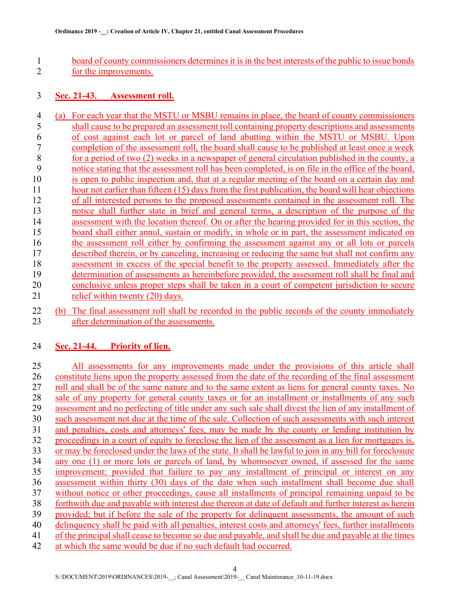1 board of county commissioners determines it is in the best interests of the public to issue bonds 2 for the improvements.

#### 3 Sec. 21-43. Assessment roll.

4 (a) For each year that the MSTU or MSBU remains in place, the board of county commissioners 5 shall cause to be prepared an assessment roll containing property descriptions and assessments 6 of cost against each lot or parcel of land abutting within the MSTU or MSBU. Upon 7 completion of the assessment roll, the board shall cause to be published at least once a week 8 for a period of two (2) weeks in a newspaper of general circulation published in the county, a 9 notice stating that the assessment roll has been completed, is on file in the office of the board, 10 is open to public inspection and, that at a regular meeting of the board on a certain day and 11 hour not earlier than fifteen (15) days from the first publication, the board will hear objections 12 of all interested persons to the proposed assessments contained in the assessment roll. The 13 notice shall further state in brief and general terms, a description of the purpose of the 14 assessment with the location thereof. On or after the hearing provided for in this section, the 15 board shall either annul, sustain or modify, in whole or in part, the assessment indicated on 16 the assessment roll either by confirming the assessment against any or all lots or parcels 17 described therein, or by canceling, increasing or reducing the same but shall not confirm any 18 assessment in excess of the special benefit to the property assessed. Immediately after the 19 determination of assessments as hereinbefore provided, the assessment roll shall be final and 20 conclusive unless proper steps shall be taken in a court of competent jurisdiction to secure 21 relief within twenty (20) days.

22 (b) The final assessment roll shall be recorded in the public records of the county immediately 23 after determination of the assessments.

#### 24 Sec. 21-44. Priority of lien.

25 All assessments for any improvements made under the provisions of this article shall 26 constitute liens upon the property assessed from the date of the recording of the final assessment 27 roll and shall be of the same nature and to the same extent as liens for general county taxes. No 28 sale of any property for general county taxes or for an installment or installments of any such 29 assessment and no perfecting of title under any such sale shall divest the lien of any installment of 30 such assessment not due at the time of the sale. Collection of such assessments with such interest 31 and penalties, costs and attorneys' fees, may be made by the county or lending institution by 32 proceedings in a court of equity to foreclose the lien of the assessment as a lien for mortgages is, 33 or may be foreclosed under the laws of the state. It shall be lawful to join in any bill for foreclosure 34 any one (1) or more lots or parcels of land, by whomsoever owned, if assessed for the same 35 improvement; provided that failure to pay any installment of principal or interest on any 36 assessment within thirty (30) days of the date when such installment shall become due shall 37 without notice or other proceedings, cause all installments of principal remaining unpaid to be 38 forthwith due and payable with interest due thereon at date of default and further interest as herein 39 provided; but if before the sale of the property for delinquent assessments, the amount of such 40 delinquency shall be paid with all penalties, interest costs and attorneys' fees, further installments 41 of the principal shall cease to become so due and payable, and shall be due and payable at the times

42 at which the same would be due if no such default had occurred.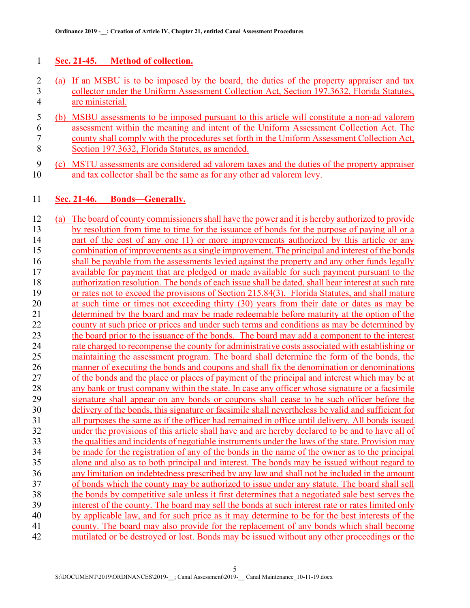### 1 Sec. 21-45. Method of collection.

- 2 (a) If an MSBU is to be imposed by the board, the duties of the property appraiser and tax 3 collector under the Uniform Assessment Collection Act, Section 197.3632, Florida Statutes, 4 are ministerial.
- 5 (b) MSBU assessments to be imposed pursuant to this article will constitute a non-ad valorem 6 assessment within the meaning and intent of the Uniform Assessment Collection Act. The county shall comply with the procedures set forth in the Uniform Assessment Collection Act. county shall comply with the procedures set forth in the Uniform Assessment Collection Act, 8 Section 197.3632, Florida Statutes, as amended.
- 9 (c) MSTU assessments are considered ad valorem taxes and the duties of the property appraiser 10 and tax collector shall be the same as for any other ad valorem levy.

#### 11 Sec. 21-46. Bonds—Generally.

12 (a) The board of county commissioners shall have the power and it is hereby authorized to provide 13 by resolution from time to time for the issuance of bonds for the purpose of paying all or a 14 part of the cost of any one (1) or more improvements authorized by this article or any 15 combination of improvements as a single improvement. The principal and interest of the bonds 16 shall be payable from the assessments levied against the property and any other funds legally 17 available for payment that are pledged or made available for such payment pursuant to the 18 authorization resolution. The bonds of each issue shall be dated, shall bear interest at such rate 19 or rates not to exceed the provisions of Section 215.84(3), Florida Statutes, and shall mature 20 at such time or times not exceeding thirty (30) years from their date or dates as may be 21 determined by the board and may be made redeemable before maturity at the option of the 22 county at such price or prices and under such terms and conditions as may be determined by 23 the board prior to the issuance of the bonds. The board may add a component to the interest 24 rate charged to recompense the county for administrative costs associated with establishing or 25 maintaining the assessment program. The board shall determine the form of the bonds, the 26 manner of executing the bonds and coupons and shall fix the denomination or denominations 27 of the bonds and the place or places of payment of the principal and interest which may be at 28 any bank or trust company within the state. In case any officer whose signature or a facsimile 29 signature shall appear on any bonds or coupons shall cease to be such officer before the 30 delivery of the bonds, this signature or facsimile shall nevertheless be valid and sufficient for 31 all purposes the same as if the officer had remained in office until delivery. All bonds issued 32 under the provisions of this article shall have and are hereby declared to be and to have all of 33 the qualities and incidents of negotiable instruments under the laws of the state. Provision may 34 be made for the registration of any of the bonds in the name of the owner as to the principal 35 alone and also as to both principal and interest. The bonds may be issued without regard to 36 any limitation on indebtedness prescribed by any law and shall not be included in the amount 37 of bonds which the county may be authorized to issue under any statute. The board shall sell 38 the bonds by competitive sale unless it first determines that a negotiated sale best serves the 39 interest of the county. The board may sell the bonds at such interest rate or rates limited only 40 by applicable law, and for such price as it may determine to be for the best interests of the 41 county. The board may also provide for the replacement of any bonds which shall become 42 mutilated or be destroyed or lost. Bonds may be issued without any other proceedings or the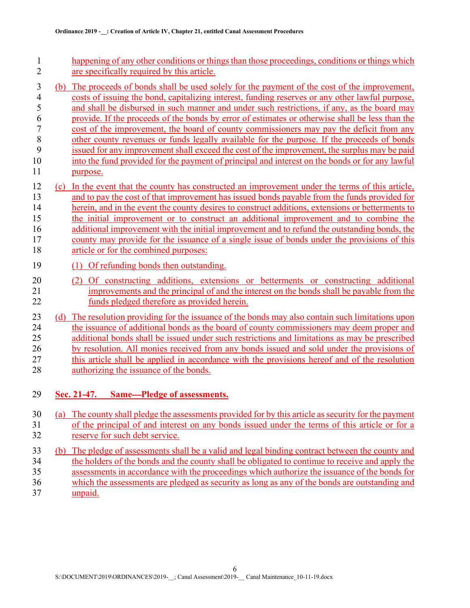- 1 happening of any other conditions or things than those proceedings, conditions or things which 2 are specifically required by this article.
- 3 (b) The proceeds of bonds shall be used solely for the payment of the cost of the improvement, 4 costs of issuing the bond, capitalizing interest, funding reserves or any other lawful purpose,<br>5 and shall be disbursed in such manner and under such restrictions, if any, as the board may and shall be disbursed in such manner and under such restrictions, if any, as the board may 6 provide. If the proceeds of the bonds by error of estimates or otherwise shall be less than the cost of the improvement, the board of county commissioners may pay the deficit from any 7 cost of the improvement, the board of county commissioners may pay the deficit from any other county revenues or funds legally available for the purpose. If the proceeds of bonds other county revenues or funds legally available for the purpose. If the proceeds of bonds 9 issued for any improvement shall exceed the cost of the improvement, the surplus may be paid 10 into the fund provided for the payment of principal and interest on the bonds or for any lawful 11 purpose.
- 12 (c) In the event that the county has constructed an improvement under the terms of this article, 13 and to pay the cost of that improvement has issued bonds payable from the funds provided for 14 herein, and in the event the county desires to construct additions, extensions or betterments to 15 the initial improvement or to construct an additional improvement and to combine the 16 additional improvement with the initial improvement and to refund the outstanding bonds, the 17 county may provide for the issuance of a single issue of bonds under the provisions of this 18 article or for the combined purposes:
- 19 (1) Of refunding bonds then outstanding.
- 20 (2) Of constructing additions, extensions or betterments or constructing additional 21 improvements and the principal of and the interest on the bonds shall be payable from the 22 funds pledged therefore as provided herein.
- 23 (d) The resolution providing for the issuance of the bonds may also contain such limitations upon 24 the issuance of additional bonds as the board of county commissioners may deem proper and 25 additional bonds shall be issued under such restrictions and limitations as may be prescribed 26 by resolution. All monies received from any bonds issued and sold under the provisions of 27 this article shall be applied in accordance with the provisions hereof and of the resolution 28 authorizing the issuance of the bonds.
- 29 Sec. 21-47. Same-Pledge of assessments.
- 30 (a) The county shall pledge the assessments provided for by this article as security for the payment 31 of the principal of and interest on any bonds issued under the terms of this article or for a 32 reserve for such debt service.
- 33 (b) The pledge of assessments shall be a valid and legal binding contract between the county and 34 the holders of the bonds and the county shall be obligated to continue to receive and apply the 35 assessments in accordance with the proceedings which authorize the issuance of the bonds for 36 which the assessments are pledged as security as long as any of the bonds are outstanding and 37 unpaid.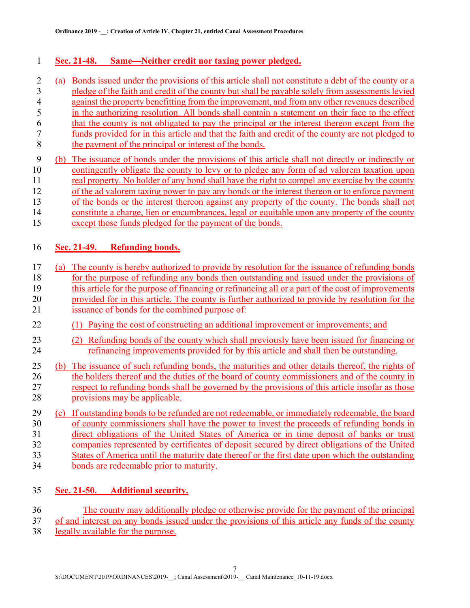#### 1 Sec. 21-48. Same—Neither credit nor taxing power pledged.

- 2 (a) Bonds issued under the provisions of this article shall not constitute a debt of the county or a 3 pledge of the faith and credit of the county but shall be payable solely from assessments levied 4 against the property benefitting from the improvement, and from any other revenues described 5 in the authorizing resolution. All bonds shall contain a statement on their face to the effect 6 that the county is not obligated to pay the principal or the interest thereon except from the 7 funds provided for in this article and that the faith and credit of the county are not pledged to 8 the payment of the principal or interest of the bonds. 9 (b) The issuance of bonds under the provisions of this article shall not directly or indirectly or 10 contingently obligate the county to levy or to pledge any form of ad valorem taxation upon 11 real property. No holder of any bond shall have the right to compel any exercise by the county 12 of the ad valorem taxing power to pay any bonds or the interest thereon or to enforce payment 13 of the bonds or the interest thereon against any property of the county. The bonds shall not 14 constitute a charge, lien or encumbrances, legal or equitable upon any property of the county
- 15 except those funds pledged for the payment of the bonds.

#### 16 Sec. 21-49. Refunding bonds.

- 17 (a) The county is hereby authorized to provide by resolution for the issuance of refunding bonds 18 for the purpose of refunding any bonds then outstanding and issued under the provisions of 19 this article for the purpose of financing or refinancing all or a part of the cost of improvements 20 provided for in this article. The county is further authorized to provide by resolution for the
- 21 issuance of bonds for the combined purpose of:
- 22 (1) Paying the cost of constructing an additional improvement or improvements; and
- 23 (2) Refunding bonds of the county which shall previously have been issued for financing or 24 refinancing improvements provided for by this article and shall then be outstanding.
- 25 (b) The issuance of such refunding bonds, the maturities and other details thereof, the rights of 26 the holders thereof and the duties of the board of county commissioners and of the county in 27 respect to refunding bonds shall be governed by the provisions of this article insofar as those 28 provisions may be applicable.
- 29 (c) If outstanding bonds to be refunded are not redeemable, or immediately redeemable, the board 30 of county commissioners shall have the power to invest the proceeds of refunding bonds in 31 direct obligations of the United States of America or in time deposit of banks or trust 32 companies represented by certificates of deposit secured by direct obligations of the United 33 States of America until the maturity date thereof or the first date upon which the outstanding 34 bonds are redeemable prior to maturity.

#### 35 Sec. 21-50. Additional security.

- 36 The county may additionally pledge or otherwise provide for the payment of the principal 37 of and interest on any bonds issued under the provisions of this article any funds of the county
- 38 legally available for the purpose.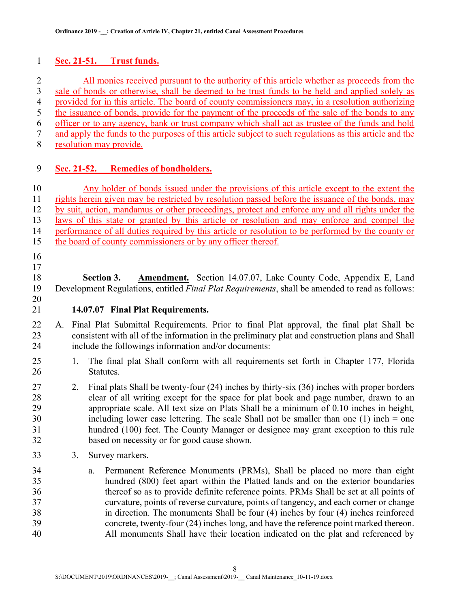#### 1 Sec. 21-51. Trust funds.

2 All monies received pursuant to the authority of this article whether as proceeds from the 3 sale of bonds or otherwise, shall be deemed to be trust funds to be held and applied solely as 4 provided for in this article. The board of county commissioners may, in a resolution authorizing 5 the issuance of bonds, provide for the payment of the proceeds of the sale of the bonds to any 6 officer or to any agency, bank or trust company which shall act as trustee of the funds and hold 7 and apply the funds to the purposes of this article subject to such regulations as this article and the 8 resolution may provide.

#### 9 Sec. 21-52. Remedies of bondholders.

10 Any holder of bonds issued under the provisions of this article except to the extent the 11 rights herein given may be restricted by resolution passed before the issuance of the bonds, may 12 by suit, action, mandamus or other proceedings, protect and enforce any and all rights under the 13 laws of this state or granted by this article or resolution and may enforce and compel the 14 performance of all duties required by this article or resolution to be performed by the county or 15 the board of county commissioners or by any officer thereof.

16 17

18 Section 3. Amendment. Section 14.07.07, Lake County Code, Appendix E, Land 19 Development Regulations, entitled Final Plat Requirements, shall be amended to read as follows: 20

- 21 **14.07.07 Final Plat Requirements.**<br>22 A. Final Plat Submittal Requirements. Prior to final Plat approval, the final plat Shall be 23 consistent with all of the information in the preliminary plat and construction plans and Shall 24 include the followings information and/or documents:
- 25 1. The final plat Shall conform with all requirements set forth in Chapter 177, Florida 26 Statutes.
- 27 2. Final plats Shall be twenty-four (24) inches by thirty-six (36) inches with proper borders 28 clear of all writing except for the space for plat book and page number, drawn to an 29 appropriate scale. All text size on Plats Shall be a minimum of 0.10 inches in height, 30 including lower case lettering. The scale Shall not be smaller than one (1) inch = one 31 hundred (100) feet. The County Manager or designee may grant exception to this rule 32 based on necessity or for good cause shown.
- 33 3. Survey markers.
- 34 a. Permanent Reference Monuments (PRMs), Shall be placed no more than eight 35 hundred (800) feet apart within the Platted lands and on the exterior boundaries 36 thereof so as to provide definite reference points. PRMs Shall be set at all points of 37 curvature, points of reverse curvature, points of tangency, and each corner or change 38 in direction. The monuments Shall be four (4) inches by four (4) inches reinforced 39 concrete, twenty-four (24) inches long, and have the reference point marked thereon. 40 All monuments Shall have their location indicated on the plat and referenced by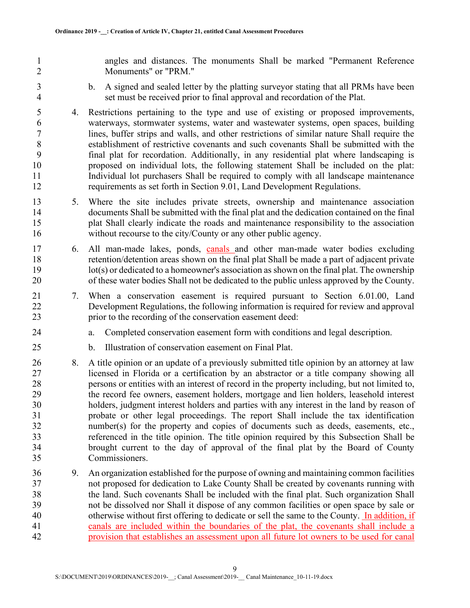1 angles and distances. The monuments Shall be marked "Permanent Reference 2 Monuments" or "PRM."

- 3 b. A signed and sealed letter by the platting surveyor stating that all PRMs have been 4 set must be received prior to final approval and recordation of the Plat.
- 5 4. Restrictions pertaining to the type and use of existing or proposed improvements, 6 waterways, stormwater systems, water and wastewater systems, open spaces, building 7 lines, buffer strips and walls, and other restrictions of similar nature Shall require the 8 establishment of restrictive covenants and such covenants Shall be submitted with the 9 final plat for recordation. Additionally, in any residential plat where landscaping is 10 proposed on individual lots, the following statement Shall be included on the plat: 11 Individual lot purchasers Shall be required to comply with all landscape maintenance 12 requirements as set forth in Section 9.01, Land Development Regulations.
- 13 5. Where the site includes private streets, ownership and maintenance association 14 documents Shall be submitted with the final plat and the dedication contained on the final 15 plat Shall clearly indicate the roads and maintenance responsibility to the association 16 without recourse to the city/County or any other public agency.
- 17 6. All man-made lakes, ponds, canals and other man-made water bodies excluding 18 retention/detention areas shown on the final plat Shall be made a part of adjacent private 19 lot(s) or dedicated to a homeowner's association as shown on the final plat. The ownership 20 of these water bodies Shall not be dedicated to the public unless approved by the County.
- 21 7. When a conservation easement is required pursuant to Section 6.01.00, Land 22 Development Regulations, the following information is required for review and approval 23 prior to the recording of the conservation easement deed:
- 24 a. Completed conservation easement form with conditions and legal description.
- 25 b. Illustration of conservation easement on Final Plat.
- 26 8. A title opinion or an update of a previously submitted title opinion by an attorney at law 27 licensed in Florida or a certification by an abstractor or a title company showing all 28 persons or entities with an interest of record in the property including, but not limited to, 29 the record fee owners, easement holders, mortgage and lien holders, leasehold interest 30 holders, judgment interest holders and parties with any interest in the land by reason of 31 probate or other legal proceedings. The report Shall include the tax identification 32 number(s) for the property and copies of documents such as deeds, easements, etc., 33 referenced in the title opinion. The title opinion required by this Subsection Shall be 34 brought current to the day of approval of the final plat by the Board of County 35 Commissioners.
- 36 9. An organization established for the purpose of owning and maintaining common facilities 37 not proposed for dedication to Lake County Shall be created by covenants running with 38 the land. Such covenants Shall be included with the final plat. Such organization Shall 39 not be dissolved nor Shall it dispose of any common facilities or open space by sale or 40 otherwise without first offering to dedicate or sell the same to the County. In addition, if 41 canals are included within the boundaries of the plat, the covenants shall include a 42 provision that establishes an assessment upon all future lot owners to be used for canal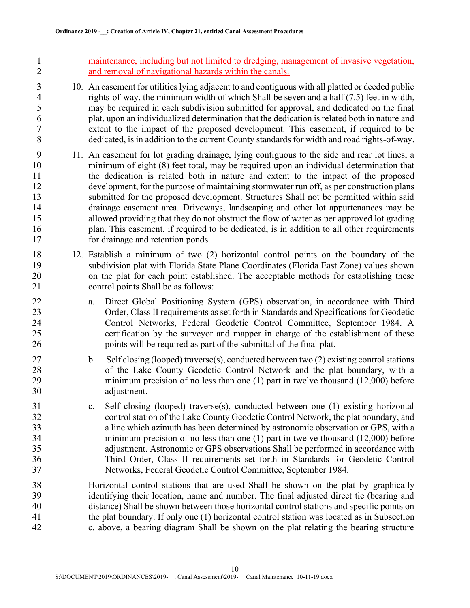1 maintenance, including but not limited to dredging, management of invasive vegetation, 2 and removal of navigational hazards within the canals.

- 3 10. An easement for utilities lying adjacent to and contiguous with all platted or deeded public 4 rights-of-way, the minimum width of which Shall be seven and a half (7.5) feet in width,<br>5 may be required in each subdivision submitted for approval, and dedicated on the final may be required in each subdivision submitted for approval, and dedicated on the final 6 plat, upon an individualized determination that the dedication is related both in nature and 7 extent to the impact of the proposed development. This easement, if required to be 8 dedicated, is in addition to the current County standards for width and road rights-of-way.
- 9 11. An easement for lot grading drainage, lying contiguous to the side and rear lot lines, a 10 minimum of eight (8) feet total, may be required upon an individual determination that 11 the dedication is related both in nature and extent to the impact of the proposed 12 development, for the purpose of maintaining stormwater run off, as per construction plans 13 submitted for the proposed development. Structures Shall not be permitted within said 14 drainage easement area. Driveways, landscaping and other lot appurtenances may be 15 allowed providing that they do not obstruct the flow of water as per approved lot grading 16 plan. This easement, if required to be dedicated, is in addition to all other requirements 17 for drainage and retention ponds.
- 18 12. Establish a minimum of two (2) horizontal control points on the boundary of the 19 subdivision plat with Florida State Plane Coordinates (Florida East Zone) values shown 20 on the plat for each point established. The acceptable methods for establishing these 21 control points Shall be as follows:
- 22 a. Direct Global Positioning System (GPS) observation, in accordance with Third 23 Order, Class II requirements as set forth in Standards and Specifications for Geodetic 24 Control Networks, Federal Geodetic Control Committee, September 1984. A 25 certification by the surveyor and mapper in charge of the establishment of these 26 points will be required as part of the submittal of the final plat.
- 27 b. Self closing (looped) traverse(s), conducted between two (2) existing control stations 28 of the Lake County Geodetic Control Network and the plat boundary, with a 29 minimum precision of no less than one (1) part in twelve thousand (12,000) before 30 adjustment.
- 31 c. Self closing (looped) traverse(s), conducted between one (1) existing horizontal 32 control station of the Lake County Geodetic Control Network, the plat boundary, and 33 a line which azimuth has been determined by astronomic observation or GPS, with a 34 minimum precision of no less than one (1) part in twelve thousand (12,000) before 35 adjustment. Astronomic or GPS observations Shall be performed in accordance with 36 Third Order, Class II requirements set forth in Standards for Geodetic Control 37 Networks, Federal Geodetic Control Committee, September 1984.
- 38 Horizontal control stations that are used Shall be shown on the plat by graphically 39 identifying their location, name and number. The final adjusted direct tie (bearing and 40 distance) Shall be shown between those horizontal control stations and specific points on 41 the plat boundary. If only one (1) horizontal control station was located as in Subsection 42 c. above, a bearing diagram Shall be shown on the plat relating the bearing structure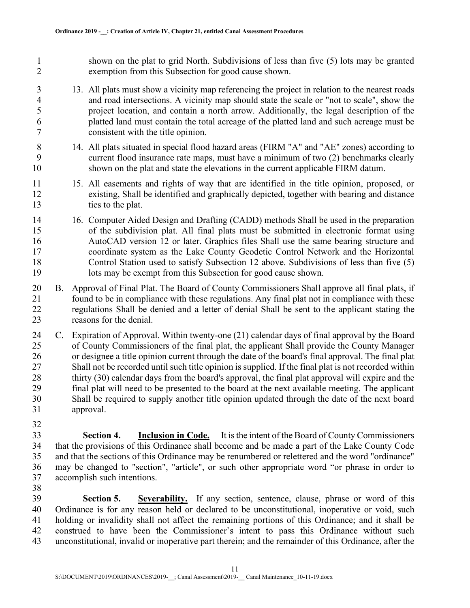1 shown on the plat to grid North. Subdivisions of less than five (5) lots may be granted 2 exemption from this Subsection for good cause shown.

- 3 13. All plats must show a vicinity map referencing the project in relation to the nearest roads 4 and road intersections. A vicinity map should state the scale or "not to scale", show the 5 project location, and contain a north arrow. Additionally, the legal description of the 6 platted land must contain the total acreage of the platted land and such acreage must be 7 consistent with the title opinion.
- 8 14. All plats situated in special flood hazard areas (FIRM "A" and "AE" zones) according to 9 current flood insurance rate maps, must have a minimum of two (2) benchmarks clearly 10 shown on the plat and state the elevations in the current applicable FIRM datum.
- 11 15. All easements and rights of way that are identified in the title opinion, proposed, or 12 existing, Shall be identified and graphically depicted, together with bearing and distance 13 ties to the plat.
- 14 16. Computer Aided Design and Drafting (CADD) methods Shall be used in the preparation 15 of the subdivision plat. All final plats must be submitted in electronic format using 16 AutoCAD version 12 or later. Graphics files Shall use the same bearing structure and 17 coordinate system as the Lake County Geodetic Control Network and the Horizontal 18 Control Station used to satisfy Subsection 12 above. Subdivisions of less than five (5) 19 lots may be exempt from this Subsection for good cause shown.
- 20 B. Approval of Final Plat. The Board of County Commissioners Shall approve all final plats, if 21 found to be in compliance with these regulations. Any final plat not in compliance with these 22 regulations Shall be denied and a letter of denial Shall be sent to the applicant stating the 23 reasons for the denial.
- 24 C. Expiration of Approval. Within twenty-one (21) calendar days of final approval by the Board 25 of County Commissioners of the final plat, the applicant Shall provide the County Manager 26 or designee a title opinion current through the date of the board's final approval. The final plat 27 Shall not be recorded until such title opinion is supplied. If the final plat is not recorded within 28 thirty (30) calendar days from the board's approval, the final plat approval will expire and the 29 final plat will need to be presented to the board at the next available meeting. The applicant 30 Shall be required to supply another title opinion updated through the date of the next board 31 approval.
- 32

33 Section 4. Inclusion in Code. It is the intent of the Board of County Commissioners 34 that the provisions of this Ordinance shall become and be made a part of the Lake County Code 35 and that the sections of this Ordinance may be renumbered or relettered and the word "ordinance" 36 may be changed to "section", "article", or such other appropriate word "or phrase in order to 37 accomplish such intentions.

38

39 Section 5. Severability. If any section, sentence, clause, phrase or word of this 40 Ordinance is for any reason held or declared to be unconstitutional, inoperative or void, such 41 holding or invalidity shall not affect the remaining portions of this Ordinance; and it shall be 42 construed to have been the Commissioner's intent to pass this Ordinance without such 43 unconstitutional, invalid or inoperative part therein; and the remainder of this Ordinance, after the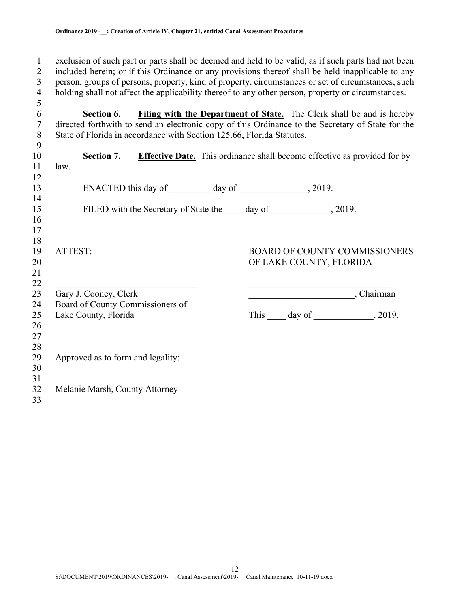5

1 exclusion of such part or parts shall be deemed and held to be valid, as if such parts had not been 2 included herein; or if this Ordinance or any provisions thereof shall be held inapplicable to any 3 person, groups of persons, property, kind of property, circumstances or set of circumstances, such 4 holding shall not affect the applicability thereof to any other person, property or circumstances.<br>5

6 Section 6. Filing with the Department of State. The Clerk shall be and is hereby 7 directed forthwith to send an electronic copy of this Ordinance to the Secretary of State for the 8 State of Florida in accordance with Section 125.66, Florida Statutes.

| 9        |                                                          |                                                                                 |
|----------|----------------------------------------------------------|---------------------------------------------------------------------------------|
| 10       | Section 7.                                               | <b>Effective Date.</b> This ordinance shall become effective as provided for by |
| 11       | law.                                                     |                                                                                 |
| 12       |                                                          |                                                                                 |
| 13       |                                                          |                                                                                 |
| 14       |                                                          |                                                                                 |
| 15       | FILED with the Secretary of State the 10 day of 100 day. |                                                                                 |
| 16<br>17 |                                                          |                                                                                 |
| 18       |                                                          |                                                                                 |
| 19       | ATTEST:                                                  | <b>BOARD OF COUNTY COMMISSIONERS</b>                                            |
| 20       |                                                          | OF LAKE COUNTY, FLORIDA                                                         |
| 21       |                                                          |                                                                                 |
| 22       |                                                          |                                                                                 |
| 23       | Gary J. Cooney, Clerk                                    | Chairman                                                                        |
| 24       | Board of County Commissioners of                         |                                                                                 |
| 25       | Lake County, Florida                                     | This $\_\_\_$ day of $\_\_\_\_\_$ , 2019.                                       |
| 26       |                                                          |                                                                                 |
| 27       |                                                          |                                                                                 |
| 28       |                                                          |                                                                                 |
| 29       | Approved as to form and legality:                        |                                                                                 |
| 30       |                                                          |                                                                                 |
| 31       |                                                          |                                                                                 |
| 32       | Melanie Marsh, County Attorney                           |                                                                                 |
| 33       |                                                          |                                                                                 |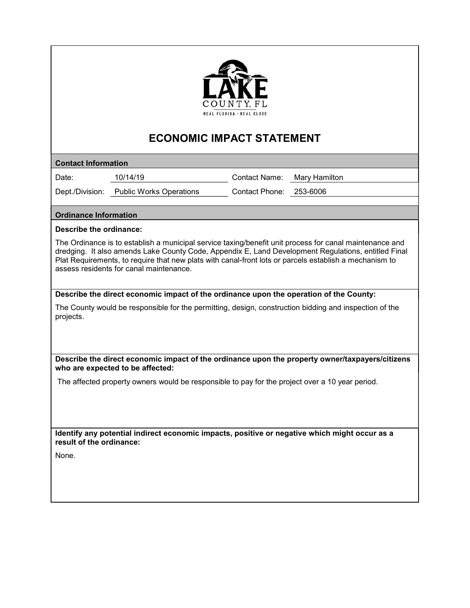

# ECONOMIC IMPACT STATEMENT

Contact Information

COUNTY, FL<br>
COUNTY, FL<br>
CONOMIC IMPACT STATEMENT<br>
CONOMIC IMPACT STATEMENT<br>
Contact Information<br>
Date: 10/14/19 Contact Name: Mary Hamilton<br>
Dept./Division: Public Works Operations Contact Phone: 253-6006<br>
Ordinance Inform COUNTY, FL<br>
COUNTY, FL<br>
COUNTY, FL<br>
CONOMIC IMPACT STATEMENT<br>
CONOMIC IMPACT STATEMENT<br>
Contact Information<br>
Date: 10/14/19 Contact Name: Mary Hamilton<br>
Dept./Division: Public Works Operations Contact Phone: 253-6006<br>
Ordi The Ordinance is to establish a municipal service taxing/benefit unit process for canal maintenance and CONOMIC IMPACT STATEMENT<br>
Contact Information<br>
Date: <u>10/14/19</u> CONOMIC IMPACT STATEMENT<br>
Date: <u>10/14/19</u> Contact Name: <u>Mary Hamilton</u><br>
Dept./Division: <u>Public Works Operations</u> Contact Phone: <u>253-6006</u><br>
Ordinance Infor Plat Requirements, to require that new plats with canal-front lots or parcels establish a mechanism to assess residents for canal maintenance. COUNTY, FL<br>
COUNTY, FL<br>
TRATEMENT<br>
Contact Information<br>
Date:<br>
Dept./Division: Thublic Works Operations<br>
Contact Phone: <u>Alary Hamilton</u><br>
Dept./Division: The direct economic<br>
Dept./Division: The ordinance information<br>
Desc Contact Information<br>Date:  $\frac{10/14/19}{2}$  Contact Phone:  $\frac{N_{\text{Bry}}}{253-6006}$ <br>Dept/Division:  $\frac{P_{\text{ublic}}}{250+6006}$ <br>Ordinance Information<br>Ordinance is to establish a municipal service taxing/benefit unit process for c Dept./Division: <u>Public Works Operations</u> Contact Phone: <u>253-6006</u><br>
Division: <u>Public Works Operations</u><br>
The Ordinance is to establish a municipal service taxing/benefit unit process for canal maintenance and<br>
Discribe th

The County would be responsible for the permitting, design, construction bidding and inspection of the projects.

who are expected to be affected:

Identify any potential indirect economic impacts, positive or negative which might occur as a result of the ordinance:

None.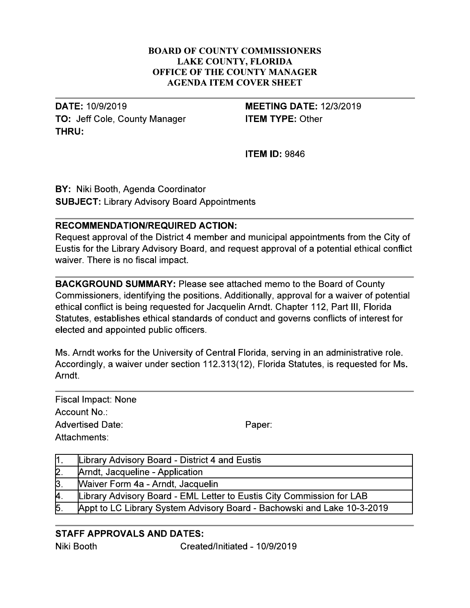#### **BOARD OF COUNTY COMMISSIONERS LAKE COUNTY, FLORIDA** OFFICE OF THE COUNTY MANAGER **AGENDA ITEM COVER SHEET**

**DATE: 10/9/2019** TO: Jeff Cole, County Manager THRU:

# **MEETING DATE: 12/3/2019 ITEM TYPE: Other**

**ITEM ID: 9846** 

BY: Niki Booth, Agenda Coordinator **SUBJECT: Library Advisory Board Appointments** 

### **RECOMMENDATION/REQUIRED ACTION:**

Request approval of the District 4 member and municipal appointments from the City of Eustis for the Library Advisory Board, and request approval of a potential ethical conflict waiver. There is no fiscal impact.

**BACKGROUND SUMMARY: Please see attached memo to the Board of County** Commissioners, identifying the positions. Additionally, approval for a waiver of potential ethical conflict is being requested for Jacquelin Arndt. Chapter 112, Part III, Florida Statutes, establishes ethical standards of conduct and governs conflicts of interest for elected and appointed public officers.

Ms. Arndt works for the University of Central Florida, serving in an administrative role. Accordingly, a waiver under section 112.313(12), Florida Statutes, is requested for Ms. Arndt.

**Fiscal Impact: None** Account No.: **Advertised Date:** Attachments:

Paper:

|                  | Library Advisory Board - District 4 and Eustis                          |  |  |  |
|------------------|-------------------------------------------------------------------------|--|--|--|
| $\mathsf{2}$ .   | Arndt, Jacqueline - Application                                         |  |  |  |
| $\beta$ .        | Waiver Form 4a - Arndt, Jacquelin                                       |  |  |  |
| <b>A</b>         | Library Advisory Board - EML Letter to Eustis City Commission for LAB   |  |  |  |
| $\overline{5}$ . | Appt to LC Library System Advisory Board - Bachowski and Lake 10-3-2019 |  |  |  |

# **STAFF APPROVALS AND DATES:**

Niki Booth

Created/Initiated - 10/9/2019